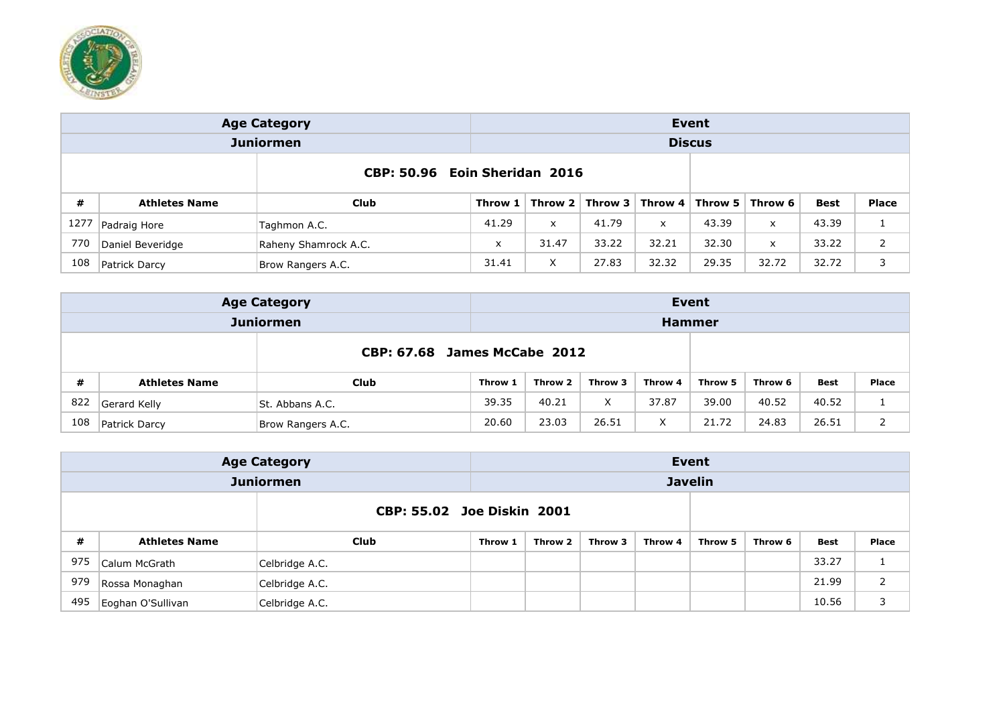

|                               |                      | <b>Age Category</b>  | <b>Event</b> |                 |            |       |                        |                           |       |              |  |  |
|-------------------------------|----------------------|----------------------|--------------|-----------------|------------|-------|------------------------|---------------------------|-------|--------------|--|--|
|                               |                      | <b>Juniormen</b>     |              |                 |            |       | <b>Discus</b>          |                           |       |              |  |  |
| CBP: 50.96 Eoin Sheridan 2016 |                      |                      |              |                 |            |       |                        |                           |       |              |  |  |
| #                             | <b>Athletes Name</b> | Club                 | Throw 1      | Throw 2 $\vert$ | Throw $31$ |       | Throw $4 \mid$ Throw 5 | Throw 6                   | Best  | <b>Place</b> |  |  |
| 1277                          | Padraig Hore         | Taghmon A.C.         | 41.29        | $\mathsf{x}$    | 41.79      | x     | 43.39                  | X                         | 43.39 | 1            |  |  |
| 770                           | Daniel Beveridge     | Raheny Shamrock A.C. | X            | 31.47           | 33.22      | 32.21 | 32.30                  | $\boldsymbol{\mathsf{x}}$ | 33.22 | 2            |  |  |
| 108                           | Patrick Darcy        | Brow Rangers A.C.    | 31.41        | X               | 27.83      | 32.32 | 29.35                  | 32.72                     | 32.72 | 3            |  |  |

|                                     |                      | <b>Age Category</b> |         |         |         |         | Event         |         |             |              |
|-------------------------------------|----------------------|---------------------|---------|---------|---------|---------|---------------|---------|-------------|--------------|
|                                     |                      | <b>Juniormen</b>    |         |         |         |         | <b>Hammer</b> |         |             |              |
| <b>CBP: 67.68 James McCabe 2012</b> |                      |                     |         |         |         |         |               |         |             |              |
| #                                   | <b>Athletes Name</b> | Club                | Throw 1 | Throw 2 | Throw 3 | Throw 4 | Throw 5       | Throw 6 | <b>Best</b> | <b>Place</b> |
| 822                                 | Gerard Kelly         | St. Abbans A.C.     | 39.35   | 40.21   | X       | 37.87   | 39.00         | 40.52   | 40.52       | Τ.           |
| 108                                 | Patrick Darcy        | Brow Rangers A.C.   | 20.60   | 23.03   | 26.51   | v       | 21.72         | 24.83   | 26.51       |              |

|                            |                      | <b>Age Category</b> | Event   |         |         |         |                |         |             |       |  |
|----------------------------|----------------------|---------------------|---------|---------|---------|---------|----------------|---------|-------------|-------|--|
|                            |                      | <b>Juniormen</b>    |         |         |         |         | <b>Javelin</b> |         |             |       |  |
| CBP: 55.02 Joe Diskin 2001 |                      |                     |         |         |         |         |                |         |             |       |  |
| #                          | <b>Athletes Name</b> | Club                | Throw 1 | Throw 2 | Throw 3 | Throw 4 | Throw 5        | Throw 6 | <b>Best</b> | Place |  |
| 975                        | Calum McGrath        | Celbridge A.C.      |         |         |         |         |                |         | 33.27       | ┻     |  |
| 979                        | Rossa Monaghan       | Celbridge A.C.      |         |         |         |         |                |         | 21.99       | 2     |  |
| 495                        | Eoghan O'Sullivan    | Celbridge A.C.      |         |         |         |         |                |         | 10.56       | 3     |  |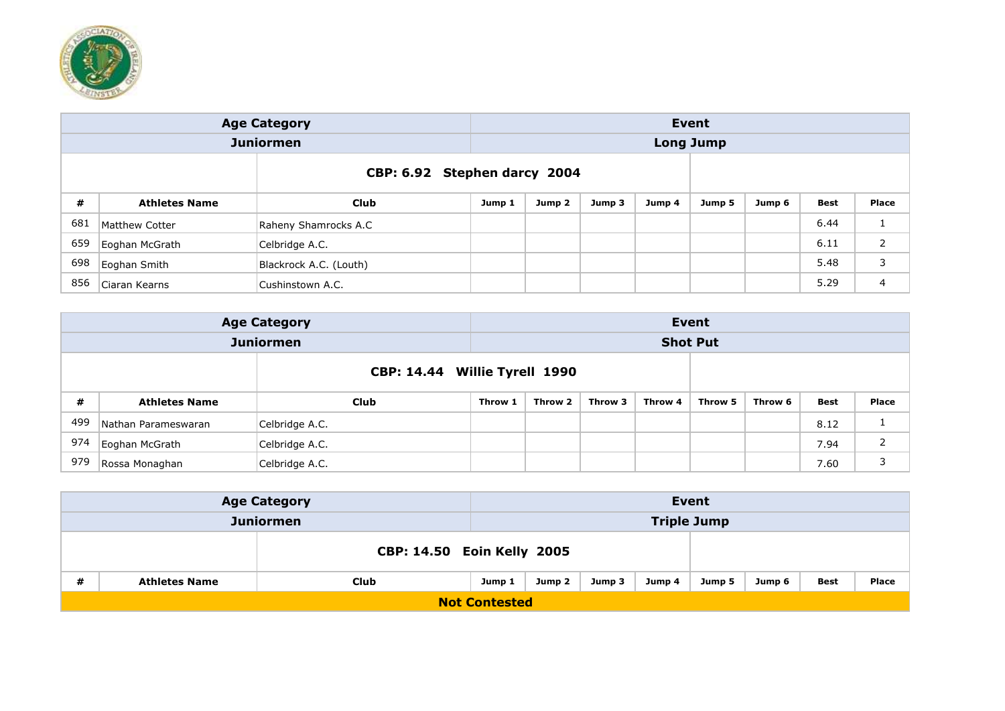

|     |                       | <b>Age Category</b>          |        |        |        |        | Event            |        |      |       |
|-----|-----------------------|------------------------------|--------|--------|--------|--------|------------------|--------|------|-------|
|     |                       | <b>Juniormen</b>             |        |        |        |        | <b>Long Jump</b> |        |      |       |
|     |                       | CBP: 6.92 Stephen darcy 2004 |        |        |        |        |                  |        |      |       |
| #   | <b>Athletes Name</b>  | <b>Club</b>                  | Jump 1 | Jump 2 | Jump 3 | Jump 4 | Jump 5           | Jump 6 | Best | Place |
| 681 | <b>Matthew Cotter</b> | Raheny Shamrocks A.C         |        |        |        |        |                  |        | 6.44 | Τ.    |
| 659 | Eoghan McGrath        | Celbridge A.C.               |        |        |        |        |                  |        | 6.11 | 2     |
| 698 | Eoghan Smith          | Blackrock A.C. (Louth)       |        |        |        |        |                  |        | 5.48 | 3     |
| 856 | Ciaran Kearns         | Cushinstown A.C.             |        |        |        |        |                  |        | 5.29 | 4     |

|     | <b>Age Category</b><br><b>Juniormen</b><br>#<br><b>Club</b><br><b>Athletes Name</b> |                |         |         |         |         | Event           |         |      |              |
|-----|-------------------------------------------------------------------------------------|----------------|---------|---------|---------|---------|-----------------|---------|------|--------------|
|     |                                                                                     |                |         |         |         |         | <b>Shot Put</b> |         |      |              |
|     | CBP: 14.44 Willie Tyrell 1990                                                       |                |         |         |         |         |                 |         |      |              |
|     |                                                                                     |                | Throw 1 | Throw 2 | Throw 3 | Throw 4 | Throw 5         | Throw 6 | Best | <b>Place</b> |
| 499 | Nathan Parameswaran                                                                 | Celbridge A.C. |         |         |         |         |                 |         | 8.12 |              |
| 974 | Eoghan McGrath                                                                      | Celbridge A.C. |         |         |         |         |                 |         | 7.94 | 2            |
| 979 | Rossa Monaghan                                                                      | Celbridge A.C. |         |         |         |         |                 |         | 7.60 | 3            |

|   |                      | <b>Age Category</b>        |        |        |        |        | Event              |        |      |       |
|---|----------------------|----------------------------|--------|--------|--------|--------|--------------------|--------|------|-------|
|   |                      | <b>Juniormen</b>           |        |        |        |        | <b>Triple Jump</b> |        |      |       |
|   |                      | CBP: 14.50 Eoin Kelly 2005 |        |        |        |        |                    |        |      |       |
| # | <b>Athletes Name</b> | <b>Club</b>                | Jump 1 | Jump 2 | Jump 3 | Jump 4 | Jump 5             | Jump 6 | Best | Place |
|   | <b>Not Contested</b> |                            |        |        |        |        |                    |        |      |       |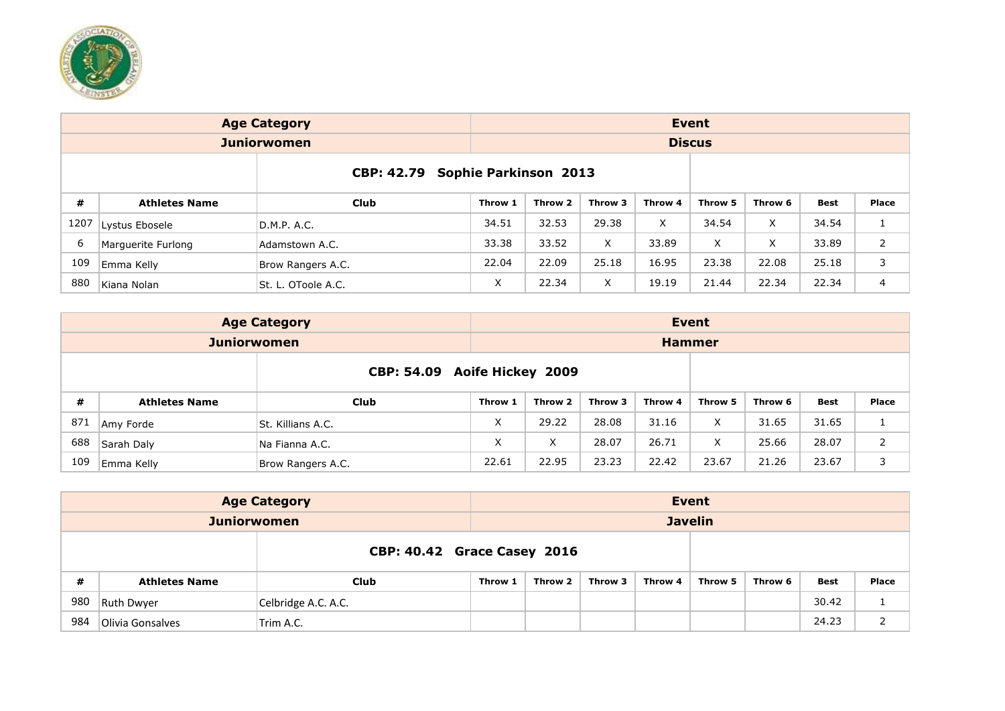

|      |                      | <b>Age Category</b> |         |                       |         |         | <b>Event</b>  |         |             |              |
|------|----------------------|---------------------|---------|-----------------------|---------|---------|---------------|---------|-------------|--------------|
|      |                      | <b>Juniorwomen</b>  |         |                       |         |         | <b>Discus</b> |         |             |              |
|      |                      | <b>CBP: 42.79</b>   |         | Sophie Parkinson 2013 |         |         |               |         |             |              |
| #    | <b>Athletes Name</b> | Club                | Throw 1 | Throw 2               | Throw 3 | Throw 4 | Throw 5       | Throw 6 | <b>Best</b> | <b>Place</b> |
| 1207 | Lystus Ebosele       | D.M.P. A.C.         | 34.51   | 32.53                 | 29.38   | X       | 34.54         | X       | 34.54       | <b>I</b>     |
| 6    | Marguerite Furlong   | Adamstown A.C.      | 33.38   | 33.52                 | X       | 33.89   | X             | X       | 33.89       | 2            |
| 109  | Emma Kelly           | Brow Rangers A.C.   | 22.04   | 22.09                 | 25.18   | 16.95   | 23.38         | 22.08   | 25.18       | 3            |
| 880  | Kiana Nolan          | St. L. OToole A.C.  | X       | 22.34                 | X.      | 19.19   | 21.44         | 22.34   | 22.34       | 4            |

|     |                      | <b>Age Category</b>      |         |         |         |         | Event         |         |       |       |
|-----|----------------------|--------------------------|---------|---------|---------|---------|---------------|---------|-------|-------|
|     |                      | <b>Juniorwomen</b>       |         |         |         |         | <b>Hammer</b> |         |       |       |
|     |                      | <b>Aoife Hickey 2009</b> |         |         |         |         |               |         |       |       |
| #   | <b>Athletes Name</b> | Club                     | Throw 1 | Throw 2 | Throw 3 | Throw 4 | Throw 5       | Throw 6 | Best  | Place |
| 871 | Amy Forde            | St. Killians A.C.        | X       | 29.22   | 28.08   | 31.16   | X             | 31.65   | 31.65 |       |
| 688 | Sarah Daly           | Na Fianna A.C.           | X       | X       | 28.07   | 26.71   | X             | 25.66   | 28.07 | 2     |
| 109 | Emma Kelly           | Brow Rangers A.C.        | 22.61   | 22.95   | 23.23   | 22.42   | 23.67         | 21.26   | 23.67 | 3     |

|     |                      | <b>Age Category</b>                |         |         |         |         | Event          |         |             |       |
|-----|----------------------|------------------------------------|---------|---------|---------|---------|----------------|---------|-------------|-------|
|     | <b>Juniorwomen</b>   |                                    |         |         |         |         | <b>Javelin</b> |         |             |       |
|     |                      | <b>CBP: 40.42 Grace Casey 2016</b> |         |         |         |         |                |         |             |       |
| #   | <b>Athletes Name</b> | Club                               | Throw 1 | Throw 2 | Throw 3 | Throw 4 | Throw 5        | Throw 6 | <b>Best</b> | Place |
| 980 | <b>Ruth Dwyer</b>    | Celbridge A.C. A.C.                |         |         |         |         |                |         | 30.42       |       |
| 984 | Olivia Gonsalves     | Trim A.C.                          |         |         |         |         |                |         | 24.23       | ∠     |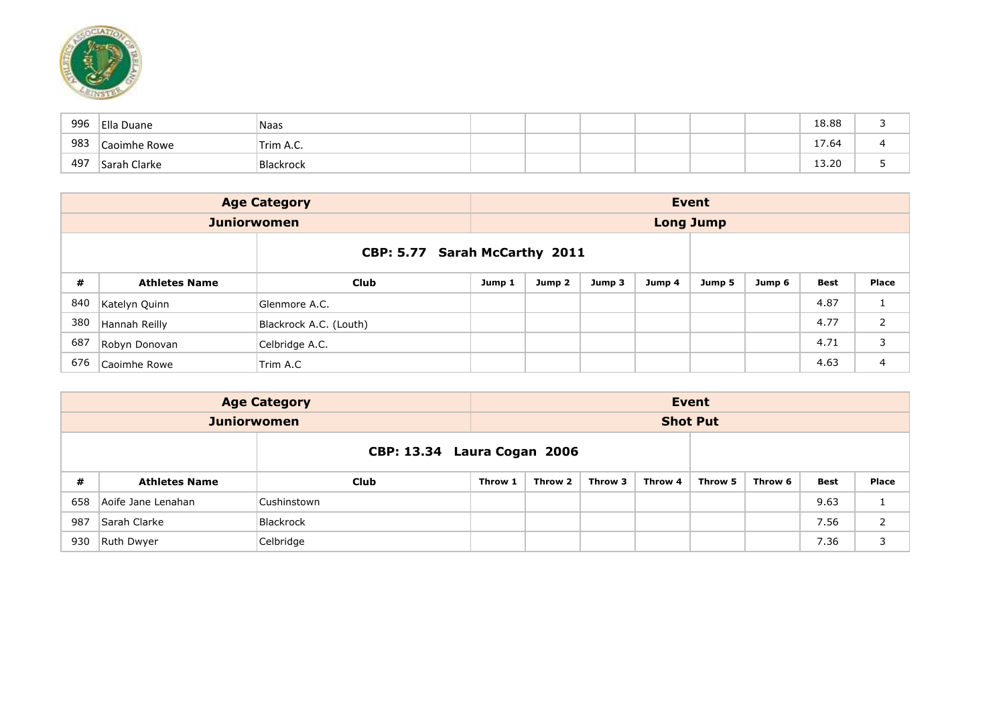

| 996 | Ella Duane   | Naas      |  |  |  | 18.88                    |   |
|-----|--------------|-----------|--|--|--|--------------------------|---|
| 983 | Caoimhe Rowe | Trim A.C. |  |  |  | $\overline{ }$<br>– 7.64 |   |
| 497 | Sarah Clarke | Blackrock |  |  |  | 13.20                    | ـ |

|     |                      | <b>Age Category</b>    |                               |        |        |        | Event            |        |      |                |
|-----|----------------------|------------------------|-------------------------------|--------|--------|--------|------------------|--------|------|----------------|
|     |                      | <b>Juniorwomen</b>     |                               |        |        |        | <b>Long Jump</b> |        |      |                |
|     |                      |                        | CBP: 5.77 Sarah McCarthy 2011 |        |        |        |                  |        |      |                |
| #   | <b>Athletes Name</b> | <b>Club</b>            | Jump 1                        | Jump 2 | Jump 3 | Jump 4 | Jump 5           | Jump 6 | Best | Place          |
| 840 | Katelyn Quinn        | Glenmore A.C.          |                               |        |        |        |                  |        | 4.87 | Ŧ.             |
| 380 | Hannah Reilly        | Blackrock A.C. (Louth) |                               |        |        |        |                  |        | 4.77 | $\overline{2}$ |
| 687 | Robyn Donovan        | Celbridge A.C.         |                               |        |        |        |                  |        | 4.71 | 3              |
| 676 | Caoimhe Rowe         | Trim A.C               |                               |        |        |        |                  |        | 4.63 | 4              |

|     |                             | <b>Age Category</b> |         |         |         |         | Event           |         |      |              |
|-----|-----------------------------|---------------------|---------|---------|---------|---------|-----------------|---------|------|--------------|
|     | <b>Juniorwomen</b>          |                     |         |         |         |         | <b>Shot Put</b> |         |      |              |
|     | CBP: 13.34 Laura Cogan 2006 |                     |         |         |         |         |                 |         |      |              |
| #   | <b>Athletes Name</b>        | <b>Club</b>         | Throw 1 | Throw 2 | Throw 3 | Throw 4 | Throw 5         | Throw 6 | Best | <b>Place</b> |
| 658 | Aoife Jane Lenahan          | Cushinstown         |         |         |         |         |                 |         | 9.63 |              |
| 987 | Sarah Clarke                | Blackrock           |         |         |         |         |                 |         | 7.56 | 2            |
| 930 | Ruth Dwyer                  | Celbridge           |         |         |         |         |                 |         | 7.36 | 3            |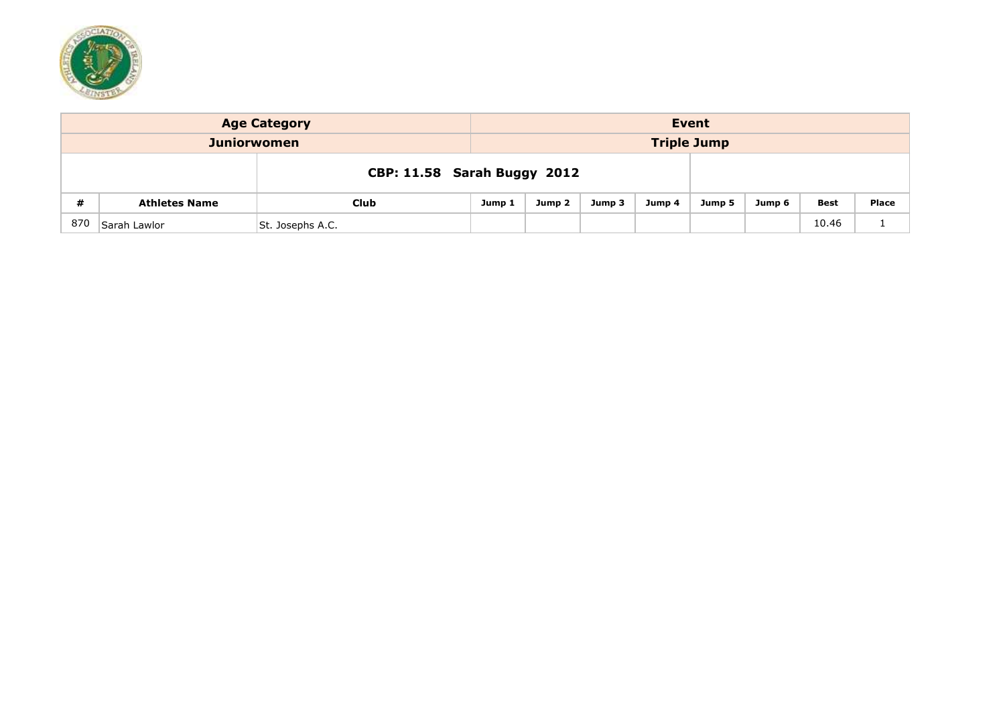

|                                          | <b>Age Category</b>  | Event                       |        |        |        |        |        |        |             |              |  |  |  |
|------------------------------------------|----------------------|-----------------------------|--------|--------|--------|--------|--------|--------|-------------|--------------|--|--|--|
| <b>Triple Jump</b><br><b>Juniorwomen</b> |                      |                             |        |        |        |        |        |        |             |              |  |  |  |
|                                          |                      | CBP: 11.58 Sarah Buggy 2012 |        |        |        |        |        |        |             |              |  |  |  |
| #                                        | <b>Athletes Name</b> | Club                        | Jump 1 | Jump 2 | Jump 3 | Jump 4 | Jump 5 | Jump 6 | <b>Best</b> | <b>Place</b> |  |  |  |
| 870                                      | Sarah Lawlor         | St. Josephs A.C.            |        |        |        |        |        |        | 10.46       | <b>.</b>     |  |  |  |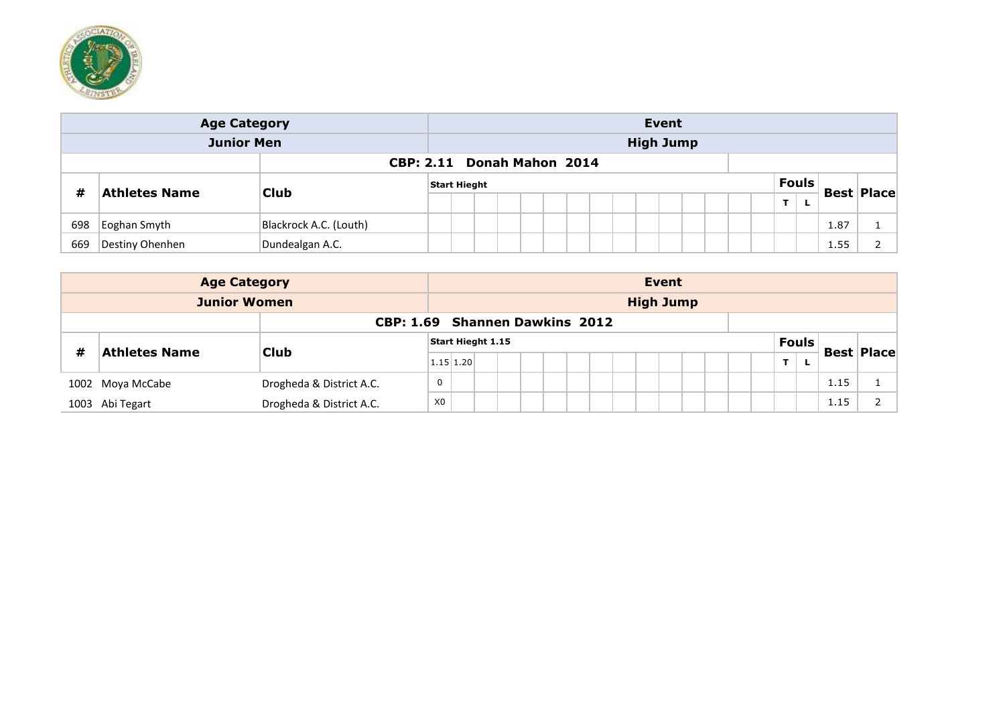

| <b>Age Category</b>               |                      |                        |  | Event               |  |  |  |  |  |  |  |  |  |  |              |  |  |   |  |                   |  |
|-----------------------------------|----------------------|------------------------|--|---------------------|--|--|--|--|--|--|--|--|--|--|--------------|--|--|---|--|-------------------|--|
| <b>Junior Men</b>                 |                      |                        |  | <b>High Jump</b>    |  |  |  |  |  |  |  |  |  |  |              |  |  |   |  |                   |  |
| <b>CBP: 2.11 Donah Mahon 2014</b> |                      |                        |  |                     |  |  |  |  |  |  |  |  |  |  |              |  |  |   |  |                   |  |
|                                   |                      |                        |  | <b>Start Hieght</b> |  |  |  |  |  |  |  |  |  |  | <b>Fouls</b> |  |  |   |  |                   |  |
| #                                 | <b>Athletes Name</b> | <b>Club</b>            |  |                     |  |  |  |  |  |  |  |  |  |  |              |  |  | ÷ |  | <b>Best Place</b> |  |
| 698                               | Eoghan Smyth         | Blackrock A.C. (Louth) |  |                     |  |  |  |  |  |  |  |  |  |  |              |  |  |   |  | 1.87              |  |
| 669                               | Destiny Ohenhen      | Dundealgan A.C.        |  |                     |  |  |  |  |  |  |  |  |  |  |              |  |  |   |  | 1.55              |  |

| <b>Age Category</b>            |                      |                          |                |                          |  |  |  |  |  |  |                  | <b>Event</b> |  |              |   |                   |  |
|--------------------------------|----------------------|--------------------------|----------------|--------------------------|--|--|--|--|--|--|------------------|--------------|--|--------------|---|-------------------|--|
| <b>Junior Women</b>            |                      |                          |                |                          |  |  |  |  |  |  | <b>High Jump</b> |              |  |              |   |                   |  |
| CBP: 1.69 Shannen Dawkins 2012 |                      |                          |                |                          |  |  |  |  |  |  |                  |              |  |              |   |                   |  |
|                                |                      | <b>Club</b>              |                | <b>Start Hieght 1.15</b> |  |  |  |  |  |  |                  |              |  | <b>Fouls</b> |   | <b>Best Place</b> |  |
| #                              | <b>Athletes Name</b> |                          | $1.15$ 1.20    |                          |  |  |  |  |  |  |                  |              |  | T            | L |                   |  |
|                                | 1002 Moya McCabe     | Drogheda & District A.C. | $\mathbf 0$    |                          |  |  |  |  |  |  |                  |              |  |              |   | 1.15              |  |
|                                | 1003 Abi Tegart      | Drogheda & District A.C. | X <sub>0</sub> |                          |  |  |  |  |  |  |                  |              |  |              |   | 1.15              |  |